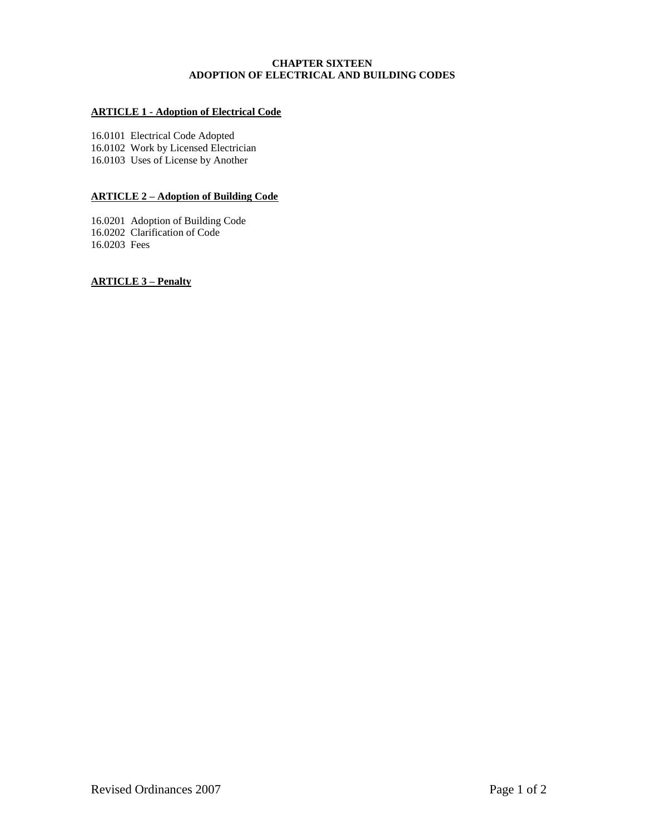## **CHAPTER SIXTEEN ADOPTION OF ELECTRICAL AND BUILDING CODES**

# **ARTICLE 1 - Adoption of Electrical Code**

16.0101 Electrical Code Adopted 16.0102 Work by Licensed Electrician 16.0103 Uses of License by Another

# **ARTICLE 2 – Adoption of Building Code**

16.0201 Adoption of Building Code 16.0202 Clarification of Code 16.0203 Fees

**ARTICLE 3 – Penalty**